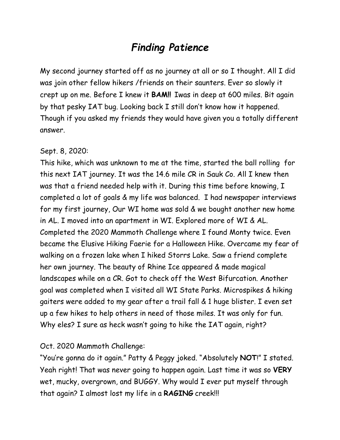# *Finding Patience*

My second journey started off as no journey at all or so I thought. All I did was join other fellow hikers /friends on their saunters. Ever so slowly it crept up on me. Before I knew it **BAM!!** Iwas in deep at 600 miles. Bit again by that pesky IAT bug. Looking back I still don't know how it happened. Though if you asked my friends they would have given you a totally different answer.

#### Sept. 8, 2020:

This hike, which was unknown to me at the time, started the ball rolling for this next IAT journey. It was the 14.6 mile CR in Sauk Co. All I knew then was that a friend needed help with it. During this time before knowing, I completed a lot of goals & my life was balanced. I had newspaper interviews for my first journey, Our WI home was sold & we bought another new home in AL. I moved into an apartment in WI. Explored more of WI & AL. Completed the 2020 Mammoth Challenge where I found Monty twice. Even became the Elusive Hiking Faerie for a Halloween Hike. Overcame my fear of walking on a frozen lake when I hiked Storrs Lake. Saw a friend complete her own journey. The beauty of Rhine Ice appeared & made magical landscapes while on a CR. Got to check off the West Bifurcation. Another goal was completed when I visited all WI State Parks. Microspikes & hiking gaiters were added to my gear after a trail fall & 1 huge blister. I even set up a few hikes to help others in need of those miles. It was only for fun. Why eles? I sure as heck wasn't going to hike the IAT again, right?

#### Oct. 2020 Mammoth Challenge:

"You're gonna do it again." Patty & Peggy joked. "Absolutely **NOT**!" I stated. Yeah right! That was never going to happen again. Last time it was so **VERY** wet, mucky, overgrown, and BUGGY. Why would I ever put myself through that again? I almost lost my life in a **RAGING** creek!!!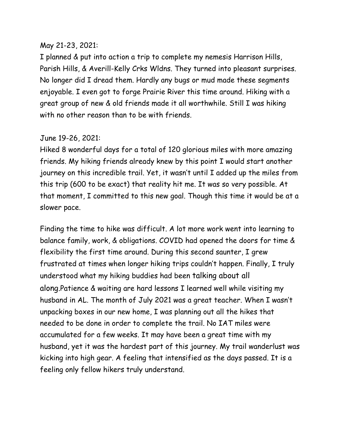#### May 21-23, 2021:

I planned & put into action a trip to complete my nemesis Harrison Hills, Parish Hills, & Averill-Kelly Crks Wldns. They turned into pleasant surprises. No longer did I dread them. Hardly any bugs or mud made these segments enjoyable. I even got to forge Prairie River this time around. Hiking with a great group of new & old friends made it all worthwhile. Still I was hiking with no other reason than to be with friends.

## June 19-26, 2021:

Hiked 8 wonderful days for a total of 120 glorious miles with more amazing friends. My hiking friends already knew by this point I would start another journey on this incredible trail. Yet, it wasn't until I added up the miles from this trip (600 to be exact) that reality hit me. It was so very possible. At that moment, I committed to this new goal. Though this time it would be at a slower pace.

Finding the time to hike was difficult. A lot more work went into learning to balance family, work, & obligations. COVID had opened the doors for time & flexibility the first time around. During this second saunter, I grew frustrated at times when longer hiking trips couldn't happen. Finally, I truly understood what my hiking buddies had been talking about all along.Patience & waiting are hard lessons I learned well while visiting my husband in AL. The month of July 2021 was a great teacher. When I wasn't unpacking boxes in our new home, I was planning out all the hikes that needed to be done in order to complete the trail. No IAT miles were accumulated for a few weeks. It may have been a great time with my husband, yet it was the hardest part of this journey. My trail wanderlust was kicking into high gear. A feeling that intensified as the days passed. It is a feeling only fellow hikers truly understand.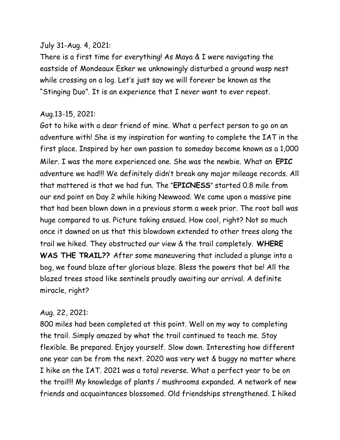#### July 31-Aug. 4, 2021:

There is a first time for everything! As Maya & I were navigating the eastside of Mondeaux Esker we unknowingly disturbed a ground wasp nest while crossing on a log. Let's just say we will forever be known as the "Stinging Duo". It is an experience that I never want to ever repeat.

#### Aug.13-15, 2021:

Got to hike with a dear friend of mine. What a perfect person to go on an adventure with! She is my inspiration for wanting to complete the IAT in the first place. Inspired by her own passion to someday become known as a 1,000 Miler. I was the more experienced one. She was the newbie. What an **EPIC** adventure we had!!! We definitely didn't break any major mileage records. All that mattered is that we had fun. The "**EPICNESS**" started 0.8 mile from our end point on Day 2 while hiking Newwood. We came upon a massive pine that had been blown down in a previous storm a week prior. The root ball was huge compared to us. Picture taking ensued. How cool, right? Not so much once it dawned on us that this blowdown extended to other trees along the trail we hiked. They obstructed our view & the trail completely. **WHERE WAS THE TRAIL??** After some maneuvering that included a plunge into a bog, we found blaze after glorious blaze. Bless the powers that be! All the blazed trees stood like sentinels proudly awaiting our arrival. A definite miracle, right?

#### Aug. 22, 2021:

800 miles had been completed at this point. Well on my way to completing the trail. Simply amazed by what the trail continued to teach me. Stay flexible. Be prepared. Enjoy yourself. Slow down. Interesting how different one year can be from the next. 2020 was very wet & buggy no matter where I hike on the IAT. 2021 was a total reverse. What a perfect year to be on the trail!!! My knowledge of plants / mushrooms expanded. A network of new friends and acquaintances blossomed. Old friendships strengthened. I hiked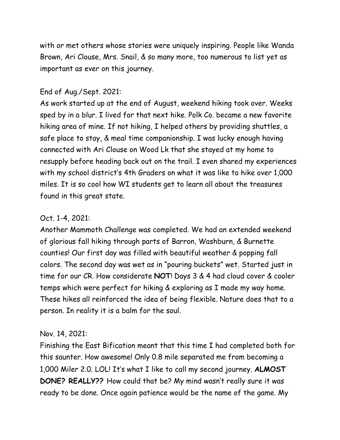with or met others whose stories were uniquely inspiring. People like Wanda Brown, Ari Clouse, Mrs. Snail, & so many more, too numerous to list yet as important as ever on this journey.

#### End of Aug./Sept. 2021:

As work started up at the end of August, weekend hiking took over. Weeks sped by in a blur. I lived for that next hike. Polk Co. became a new favorite hiking area of mine. If not hiking, I helped others by providing shuttles, a safe place to stay, & meal time companionship. I was lucky enough having connected with Ari Clouse on Wood Lk that she stayed at my home to resupply before heading back out on the trail. I even shared my experiences with my school district's 4th Graders on what it was like to hike over 1,000 miles. It is so cool how WI students get to learn all about the treasures found in this great state.

## Oct. 1-4, 2021:

Another Mammoth Challenge was completed. We had an extended weekend of glorious fall hiking through parts of Barron, Washburn, & Burnette counties! Our first day was filled with beautiful weather & popping fall colors. The second day was wet as in "pouring buckets" wet. Started just in time for our CR. How considerate **NOT**! Days 3 & 4 had cloud cover & cooler temps which were perfect for hiking & exploring as I made my way home. These hikes all reinforced the idea of being flexible. Nature does that to a person. In reality it is a balm for the soul.

#### Nov. 14, 2021:

Finishing the East Bification meant that this time I had completed both for this saunter. How awesome! Only 0.8 mile separated me from becoming a 1,000 Miler 2.0. LOL! It's what I like to call my second journey. **ALMOST DONE? REALLY??** How could that be? My mind wasn't really sure it was ready to be done. Once again patience would be the name of the game. My